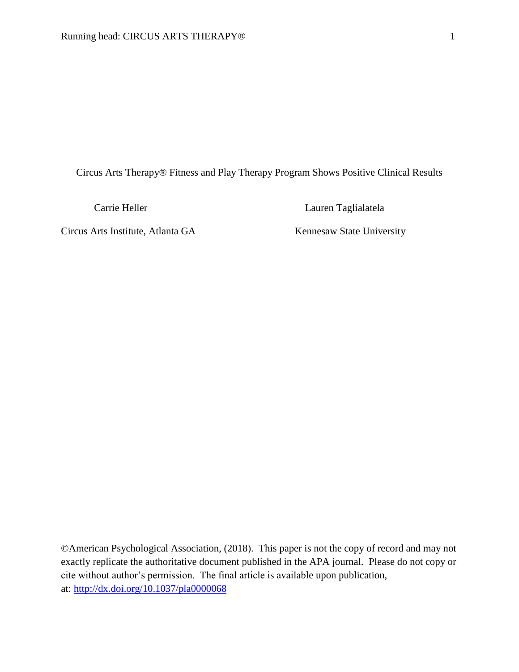Circus Arts Therapy® Fitness and Play Therapy Program Shows Positive Clinical Results

Circus Arts Institute, Atlanta GA Kennesaw State University

Carrie Heller Lauren Taglialatela

©American Psychological Association, (2018). This paper is not the copy of record and may not exactly replicate the authoritative document published in the APA journal. Please do not copy or cite without author's permission. The final article is available upon publication, at: [http://dx.doi.org/10.1037/pla0000068](http://psycnet.apa.org/doi/10.1037/pla0000068)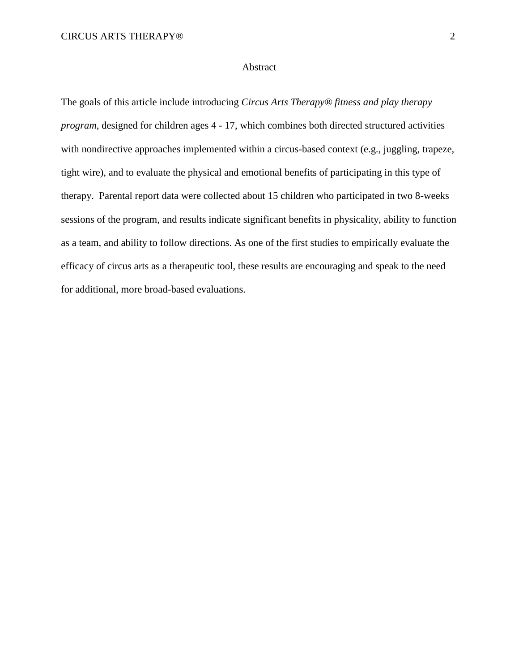### Abstract

The goals of this article include introducing *Circus Arts Therapy® fitness and play therapy program*, designed for children ages 4 - 17, which combines both directed structured activities with nondirective approaches implemented within a circus-based context (e.g., juggling, trapeze, tight wire), and to evaluate the physical and emotional benefits of participating in this type of therapy. Parental report data were collected about 15 children who participated in two 8-weeks sessions of the program, and results indicate significant benefits in physicality, ability to function as a team, and ability to follow directions. As one of the first studies to empirically evaluate the efficacy of circus arts as a therapeutic tool, these results are encouraging and speak to the need for additional, more broad-based evaluations.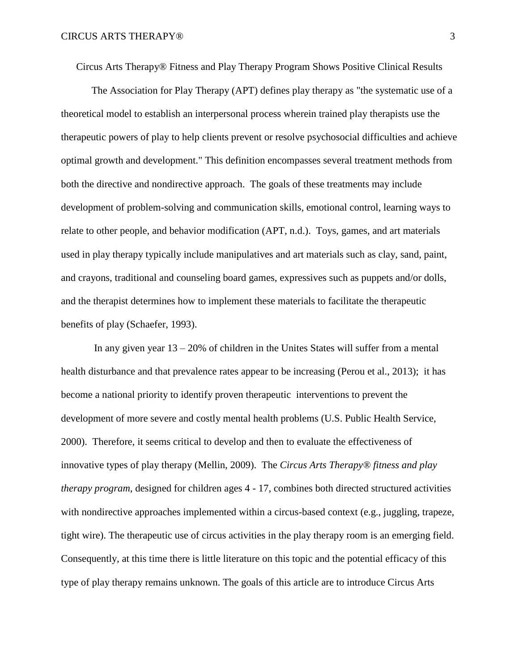Circus Arts Therapy® Fitness and Play Therapy Program Shows Positive Clinical Results

The Association for Play Therapy (APT) defines play therapy as "the systematic use of a theoretical model to establish an interpersonal process wherein trained play therapists use the therapeutic powers of play to help clients prevent or resolve psychosocial difficulties and achieve optimal growth and development." This definition encompasses several treatment methods from both the directive and nondirective approach. The goals of these treatments may include development of problem-solving and communication skills, emotional control, learning ways to relate to other people, and behavior modification (APT, n.d.). Toys, games, and art materials used in play therapy typically include manipulatives and art materials such as clay, sand, paint, and crayons, traditional and counseling board games, expressives such as puppets and/or dolls, and the therapist determines how to implement these materials to facilitate the therapeutic benefits of play (Schaefer, 1993).

In any given year  $13 - 20\%$  of children in the Unites States will suffer from a mental health disturbance and that prevalence rates appear to be increasing (Perou et al., 2013); it has become a national priority to identify proven therapeutic interventions to prevent the development of more severe and costly mental health problems (U.S. Public Health Service, 2000). Therefore, it seems critical to develop and then to evaluate the effectiveness of innovative types of play therapy (Mellin, 2009). The *Circus Arts Therapy® fitness and play therapy program*, designed for children ages 4 - 17, combines both directed structured activities with nondirective approaches implemented within a circus-based context (e.g., juggling, trapeze, tight wire). The therapeutic use of circus activities in the play therapy room is an emerging field. Consequently, at this time there is little literature on this topic and the potential efficacy of this type of play therapy remains unknown. The goals of this article are to introduce Circus Arts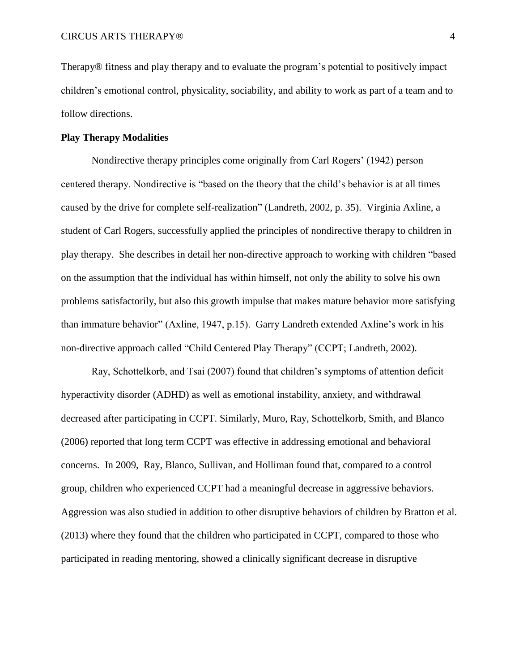Therapy® fitness and play therapy and to evaluate the program's potential to positively impact children's emotional control, physicality, sociability, and ability to work as part of a team and to follow directions.

### **Play Therapy Modalities**

Nondirective therapy principles come originally from Carl Rogers' (1942) person centered therapy. Nondirective is "based on the theory that the child's behavior is at all times caused by the drive for complete self-realization" (Landreth, 2002, p. 35). Virginia Axline, a student of Carl Rogers, successfully applied the principles of nondirective therapy to children in play therapy. She describes in detail her non-directive approach to working with children "based on the assumption that the individual has within himself, not only the ability to solve his own problems satisfactorily, but also this growth impulse that makes mature behavior more satisfying than immature behavior" (Axline, 1947, p.15). Garry Landreth extended Axline's work in his non-directive approach called "Child Centered Play Therapy" (CCPT; Landreth, 2002).

Ray, Schottelkorb, and Tsai (2007) found that children's symptoms of attention deficit hyperactivity disorder (ADHD) as well as emotional instability, anxiety, and withdrawal decreased after participating in CCPT. Similarly, Muro, Ray, Schottelkorb, Smith, and Blanco (2006) reported that long term CCPT was effective in addressing emotional and behavioral concerns. In 2009, Ray, Blanco, Sullivan, and Holliman found that, compared to a control group, children who experienced CCPT had a meaningful decrease in aggressive behaviors. Aggression was also studied in addition to other disruptive behaviors of children by Bratton et al. (2013) where they found that the children who participated in CCPT, compared to those who participated in reading mentoring, showed a clinically significant decrease in disruptive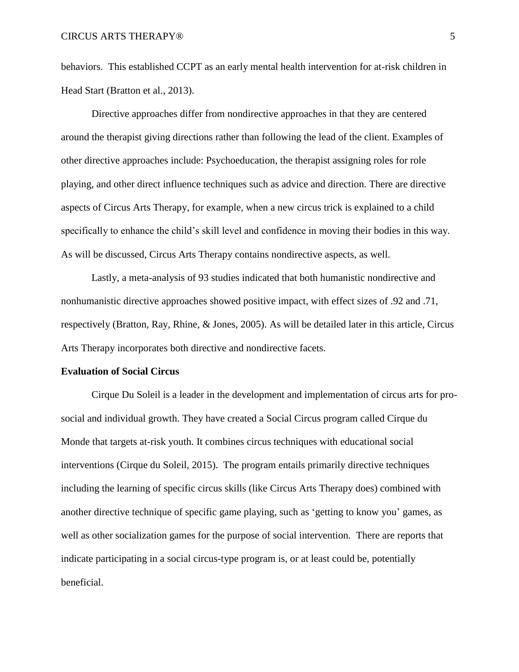behaviors. This established CCPT as an early mental health intervention for at-risk children in Head Start (Bratton et al., 2013).

Directive approaches differ from nondirective approaches in that they are centered around the therapist giving directions rather than following the lead of the client. Examples of other directive approaches include: Psychoeducation, the therapist assigning roles for role playing, and other direct influence techniques such as advice and direction. There are directive aspects of Circus Arts Therapy, for example, when a new circus trick is explained to a child specifically to enhance the child's skill level and confidence in moving their bodies in this way. As will be discussed, Circus Arts Therapy contains nondirective aspects, as well.

Lastly, a meta-analysis of 93 studies indicated that both humanistic nondirective and nonhumanistic directive approaches showed positive impact, with effect sizes of .92 and .71, respectively (Bratton, Ray, Rhine, & Jones, 2005). As will be detailed later in this article, Circus Arts Therapy incorporates both directive and nondirective facets.

### **Evaluation of Social Circus**

Cirque Du Soleil is a leader in the development and implementation of circus arts for prosocial and individual growth. They have created a Social Circus program called Cirque du Monde that targets at-risk youth. It combines circus techniques with educational social interventions (Cirque du Soleil, 2015). The program entails primarily directive techniques including the learning of specific circus skills (like Circus Arts Therapy does) combined with another directive technique of specific game playing, such as 'getting to know you' games, as well as other socialization games for the purpose of social intervention. There are reports that indicate participating in a social circus-type program is, or at least could be, potentially beneficial.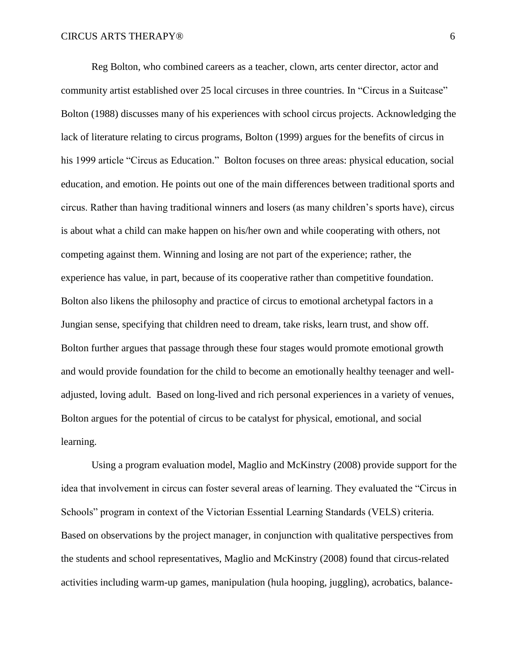Reg Bolton, who combined careers as a teacher, clown, arts center director, actor and community artist established over 25 local circuses in three countries. In "Circus in a Suitcase" Bolton (1988) discusses many of his experiences with school circus projects. Acknowledging the lack of literature relating to circus programs, Bolton (1999) argues for the benefits of circus in his 1999 article "Circus as Education." Bolton focuses on three areas: physical education, social education, and emotion. He points out one of the main differences between traditional sports and circus. Rather than having traditional winners and losers (as many children's sports have), circus is about what a child can make happen on his/her own and while cooperating with others, not competing against them. Winning and losing are not part of the experience; rather, the experience has value, in part, because of its cooperative rather than competitive foundation. Bolton also likens the philosophy and practice of circus to emotional archetypal factors in a Jungian sense, specifying that children need to dream, take risks, learn trust, and show off. Bolton further argues that passage through these four stages would promote emotional growth and would provide foundation for the child to become an emotionally healthy teenager and welladjusted, loving adult. Based on long-lived and rich personal experiences in a variety of venues, Bolton argues for the potential of circus to be catalyst for physical, emotional, and social learning.

Using a program evaluation model, Maglio and McKinstry (2008) provide support for the idea that involvement in circus can foster several areas of learning. They evaluated the "Circus in Schools" program in context of the Victorian Essential Learning Standards (VELS) criteria. Based on observations by the project manager, in conjunction with qualitative perspectives from the students and school representatives, Maglio and McKinstry (2008) found that circus-related activities including warm-up games, manipulation (hula hooping, juggling), acrobatics, balance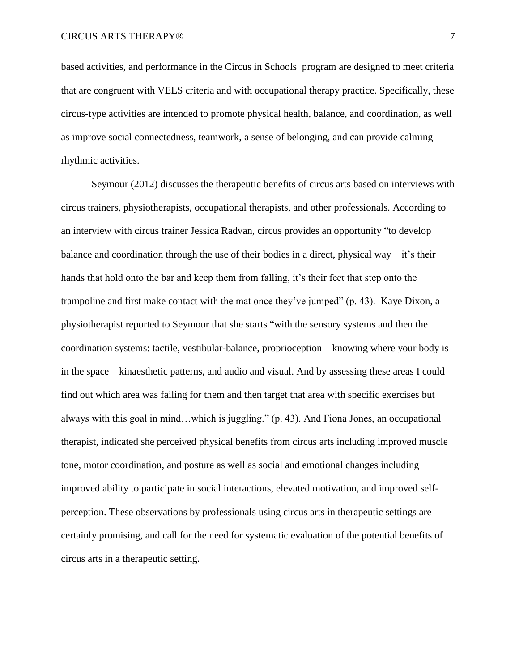based activities, and performance in the Circus in Schools program are designed to meet criteria that are congruent with VELS criteria and with occupational therapy practice. Specifically, these circus-type activities are intended to promote physical health, balance, and coordination, as well as improve social connectedness, teamwork, a sense of belonging, and can provide calming rhythmic activities.

Seymour (2012) discusses the therapeutic benefits of circus arts based on interviews with circus trainers, physiotherapists, occupational therapists, and other professionals. According to an interview with circus trainer Jessica Radvan, circus provides an opportunity "to develop balance and coordination through the use of their bodies in a direct, physical way  $-$  it's their hands that hold onto the bar and keep them from falling, it's their feet that step onto the trampoline and first make contact with the mat once they've jumped" (p. 43). Kaye Dixon, a physiotherapist reported to Seymour that she starts "with the sensory systems and then the coordination systems: tactile, vestibular-balance, proprioception – knowing where your body is in the space – kinaesthetic patterns, and audio and visual. And by assessing these areas I could find out which area was failing for them and then target that area with specific exercises but always with this goal in mind…which is juggling." (p. 43). And Fiona Jones, an occupational therapist, indicated she perceived physical benefits from circus arts including improved muscle tone, motor coordination, and posture as well as social and emotional changes including improved ability to participate in social interactions, elevated motivation, and improved selfperception. These observations by professionals using circus arts in therapeutic settings are certainly promising, and call for the need for systematic evaluation of the potential benefits of circus arts in a therapeutic setting.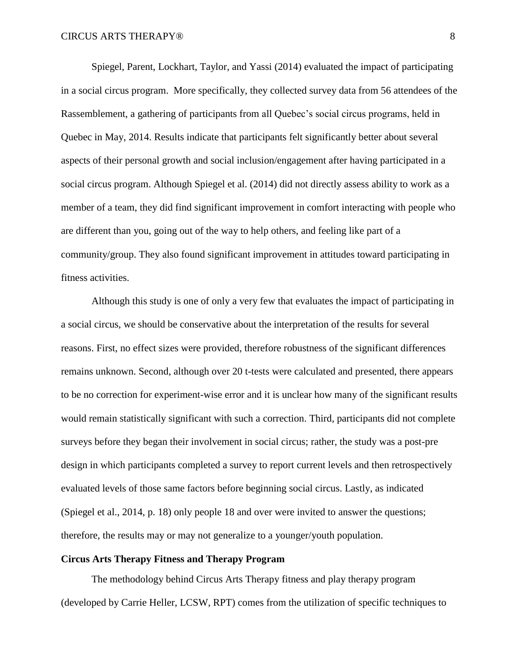Spiegel, Parent, Lockhart, Taylor, and Yassi (2014) evaluated the impact of participating in a social circus program. More specifically, they collected survey data from 56 attendees of the Rassemblement, a gathering of participants from all Quebec's social circus programs, held in Quebec in May, 2014. Results indicate that participants felt significantly better about several aspects of their personal growth and social inclusion/engagement after having participated in a social circus program. Although Spiegel et al. (2014) did not directly assess ability to work as a member of a team, they did find significant improvement in comfort interacting with people who are different than you, going out of the way to help others, and feeling like part of a community/group. They also found significant improvement in attitudes toward participating in fitness activities.

Although this study is one of only a very few that evaluates the impact of participating in a social circus, we should be conservative about the interpretation of the results for several reasons. First, no effect sizes were provided, therefore robustness of the significant differences remains unknown. Second, although over 20 t-tests were calculated and presented, there appears to be no correction for experiment-wise error and it is unclear how many of the significant results would remain statistically significant with such a correction. Third, participants did not complete surveys before they began their involvement in social circus; rather, the study was a post-pre design in which participants completed a survey to report current levels and then retrospectively evaluated levels of those same factors before beginning social circus. Lastly, as indicated (Spiegel et al., 2014, p. 18) only people 18 and over were invited to answer the questions; therefore, the results may or may not generalize to a younger/youth population.

### **Circus Arts Therapy Fitness and Therapy Program**

The methodology behind Circus Arts Therapy fitness and play therapy program (developed by Carrie Heller, LCSW, RPT) comes from the utilization of specific techniques to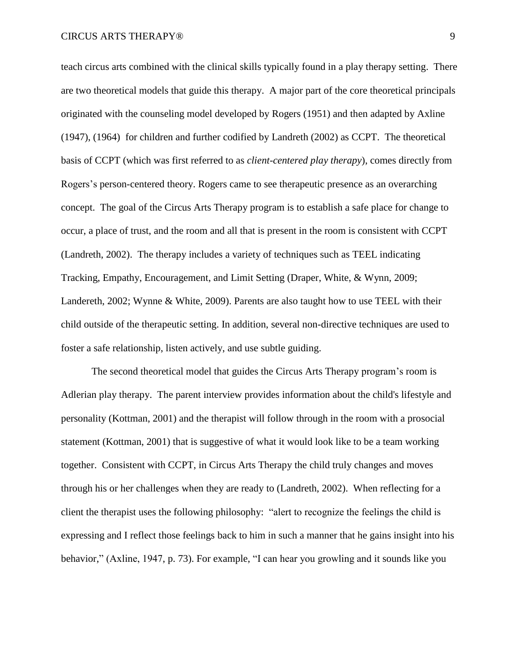teach circus arts combined with the clinical skills typically found in a play therapy setting. There are two theoretical models that guide this therapy. A major part of the core theoretical principals originated with the counseling model developed by Rogers (1951) and then adapted by Axline (1947), (1964) for children and further codified by Landreth (2002) as CCPT. The theoretical basis of CCPT (which was first referred to as *client-centered play therapy*), comes directly from Rogers's person-centered theory. Rogers came to see therapeutic presence as an overarching concept. The goal of the Circus Arts Therapy program is to establish a safe place for change to occur, a place of trust, and the room and all that is present in the room is consistent with CCPT (Landreth, 2002). The therapy includes a variety of techniques such as TEEL indicating Tracking, Empathy, Encouragement, and Limit Setting (Draper, White, & Wynn, 2009; Landereth, 2002; Wynne & White, 2009). Parents are also taught how to use TEEL with their child outside of the therapeutic setting. In addition, several non-directive techniques are used to foster a safe relationship, listen actively, and use subtle guiding.

The second theoretical model that guides the Circus Arts Therapy program's room is Adlerian play therapy. The parent interview provides information about the child's lifestyle and personality (Kottman, 2001) and the therapist will follow through in the room with a prosocial statement (Kottman, 2001) that is suggestive of what it would look like to be a team working together. Consistent with CCPT, in Circus Arts Therapy the child truly changes and moves through his or her challenges when they are ready to (Landreth, 2002). When reflecting for a client the therapist uses the following philosophy: "alert to recognize the feelings the child is expressing and I reflect those feelings back to him in such a manner that he gains insight into his behavior," (Axline, 1947, p. 73). For example, "I can hear you growling and it sounds like you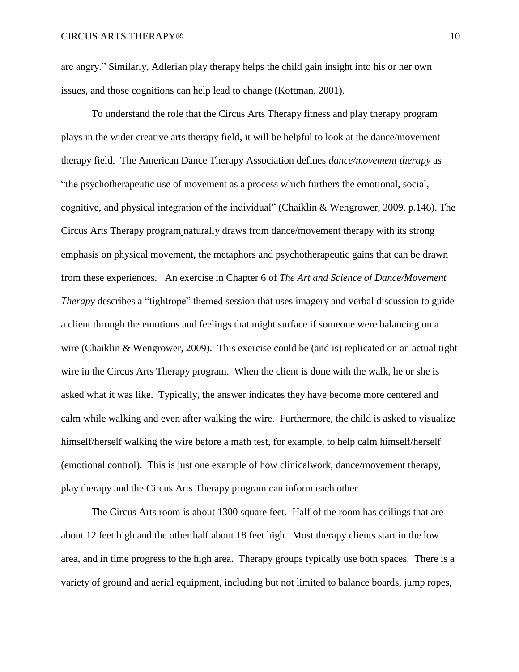are angry." Similarly, Adlerian play therapy helps the child gain insight into his or her own issues, and those cognitions can help lead to change (Kottman, 2001).

To understand the role that the Circus Arts Therapy fitness and play therapy program plays in the wider creative arts therapy field, it will be helpful to look at the dance/movement therapy field. The American Dance Therapy Association defines *dance/movement therapy* as "the psychotherapeutic use of movement as a process which furthers the emotional, social, cognitive, and physical integration of the individual" (Chaiklin & Wengrower, 2009, p.146). The Circus Arts Therapy program naturally draws from dance/movement therapy with its strong emphasis on physical movement, the metaphors and psychotherapeutic gains that can be drawn from these experiences. An exercise in Chapter 6 of *The Art and Science of Dance/Movement Therapy* describes a "tightrope" themed session that uses imagery and verbal discussion to guide a client through the emotions and feelings that might surface if someone were balancing on a wire (Chaiklin & Wengrower, 2009). This exercise could be (and is) replicated on an actual tight wire in the Circus Arts Therapy program. When the client is done with the walk, he or she is asked what it was like. Typically, the answer indicates they have become more centered and calm while walking and even after walking the wire. Furthermore, the child is asked to visualize himself/herself walking the wire before a math test, for example, to help calm himself/herself (emotional control). This is just one example of how clinicalwork, dance/movement therapy, play therapy and the Circus Arts Therapy program can inform each other.

The Circus Arts room is about 1300 square feet. Half of the room has ceilings that are about 12 feet high and the other half about 18 feet high. Most therapy clients start in the low area, and in time progress to the high area. Therapy groups typically use both spaces. There is a variety of ground and aerial equipment, including but not limited to balance boards, jump ropes,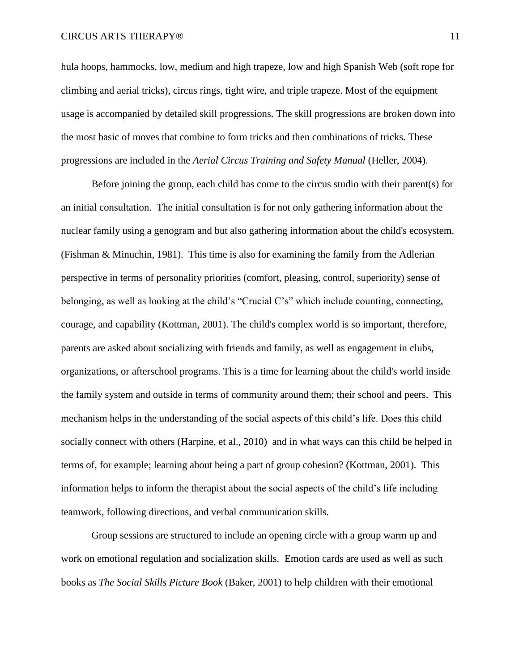hula hoops, hammocks, low, medium and high trapeze, low and high Spanish Web (soft rope for climbing and aerial tricks), circus rings, tight wire, and triple trapeze. Most of the equipment usage is accompanied by detailed skill progressions. The skill progressions are broken down into the most basic of moves that combine to form tricks and then combinations of tricks. These progressions are included in the *Aerial Circus Training and Safety Manual* (Heller, 2004).

Before joining the group, each child has come to the circus studio with their parent(s) for an initial consultation. The initial consultation is for not only gathering information about the nuclear family using a genogram and but also gathering information about the child's ecosystem. (Fishman & Minuchin, 1981). This time is also for examining the family from the Adlerian perspective in terms of personality priorities (comfort, pleasing, control, superiority) sense of belonging, as well as looking at the child's "Crucial C's" which include counting, connecting, courage, and capability (Kottman, 2001). The child's complex world is so important, therefore, parents are asked about socializing with friends and family, as well as engagement in clubs, organizations, or afterschool programs. This is a time for learning about the child's world inside the family system and outside in terms of community around them; their school and peers. This mechanism helps in the understanding of the social aspects of this child's life. Does this child socially connect with others (Harpine, et al., 2010) and in what ways can this child be helped in terms of, for example; learning about being a part of group cohesion? (Kottman, 2001). This information helps to inform the therapist about the social aspects of the child's life including teamwork, following directions, and verbal communication skills.

Group sessions are structured to include an opening circle with a group warm up and work on emotional regulation and socialization skills. Emotion cards are used as well as such books as *The Social Skills Picture Book* (Baker, 2001) to help children with their emotional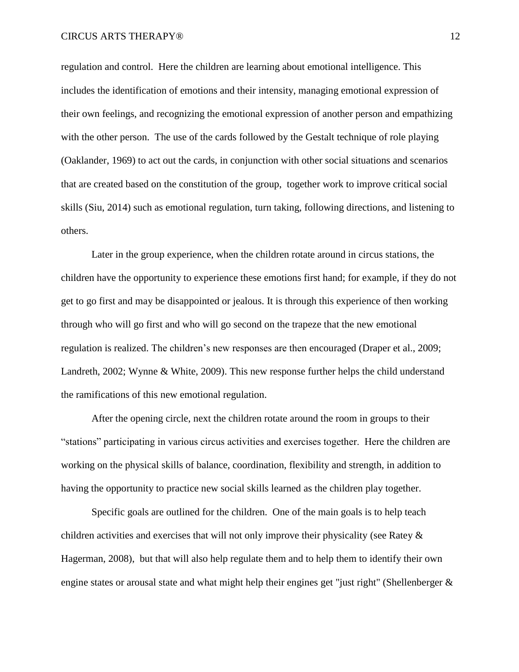regulation and control. Here the children are learning about emotional intelligence. This includes the identification of emotions and their intensity, managing emotional expression of their own feelings, and recognizing the emotional expression of another person and empathizing with the other person. The use of the cards followed by the Gestalt technique of role playing (Oaklander, 1969) to act out the cards, in conjunction with other social situations and scenarios that are created based on the constitution of the group, together work to improve critical social skills (Siu, 2014) such as emotional regulation, turn taking, following directions, and listening to others.

Later in the group experience, when the children rotate around in circus stations, the children have the opportunity to experience these emotions first hand; for example, if they do not get to go first and may be disappointed or jealous. It is through this experience of then working through who will go first and who will go second on the trapeze that the new emotional regulation is realized. The children's new responses are then encouraged (Draper et al., 2009; Landreth, 2002; Wynne & White, 2009). This new response further helps the child understand the ramifications of this new emotional regulation.

After the opening circle, next the children rotate around the room in groups to their "stations" participating in various circus activities and exercises together. Here the children are working on the physical skills of balance, coordination, flexibility and strength, in addition to having the opportunity to practice new social skills learned as the children play together.

Specific goals are outlined for the children. One of the main goals is to help teach children activities and exercises that will not only improve their physicality (see Ratey & Hagerman, 2008), but that will also help regulate them and to help them to identify their own engine states or arousal state and what might help their engines get "just right" (Shellenberger &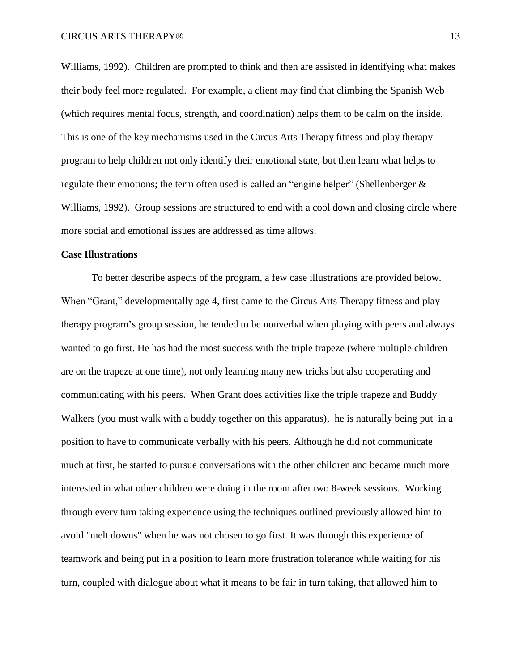Williams, 1992). Children are prompted to think and then are assisted in identifying what makes their body feel more regulated. For example, a client may find that climbing the Spanish Web (which requires mental focus, strength, and coordination) helps them to be calm on the inside. This is one of the key mechanisms used in the Circus Arts Therapy fitness and play therapy program to help children not only identify their emotional state, but then learn what helps to regulate their emotions; the term often used is called an "engine helper" (Shellenberger & Williams, 1992). Group sessions are structured to end with a cool down and closing circle where more social and emotional issues are addressed as time allows.

### **Case Illustrations**

To better describe aspects of the program, a few case illustrations are provided below. When "Grant," developmentally age 4, first came to the Circus Arts Therapy fitness and play therapy program's group session, he tended to be nonverbal when playing with peers and always wanted to go first. He has had the most success with the triple trapeze (where multiple children are on the trapeze at one time), not only learning many new tricks but also cooperating and communicating with his peers. When Grant does activities like the triple trapeze and Buddy Walkers (you must walk with a buddy together on this apparatus), he is naturally being put in a position to have to communicate verbally with his peers. Although he did not communicate much at first, he started to pursue conversations with the other children and became much more interested in what other children were doing in the room after two 8-week sessions. Working through every turn taking experience using the techniques outlined previously allowed him to avoid "melt downs" when he was not chosen to go first. It was through this experience of teamwork and being put in a position to learn more frustration tolerance while waiting for his turn, coupled with dialogue about what it means to be fair in turn taking, that allowed him to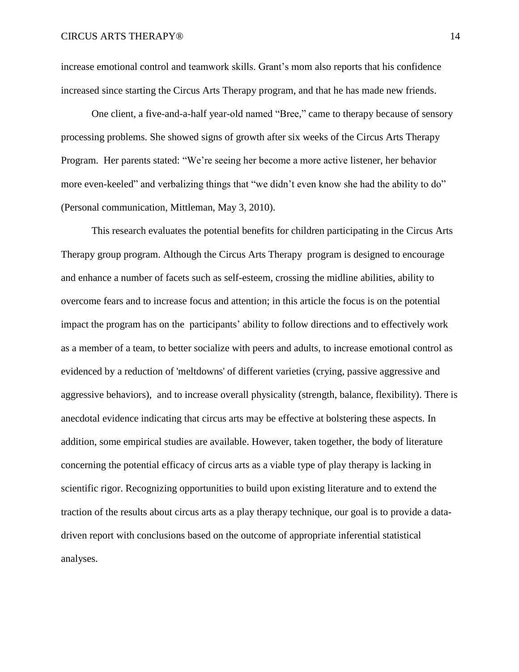increase emotional control and teamwork skills. Grant's mom also reports that his confidence increased since starting the Circus Arts Therapy program, and that he has made new friends.

One client, a five-and-a-half year-old named "Bree," came to therapy because of sensory processing problems. She showed signs of growth after six weeks of the Circus Arts Therapy Program. Her parents stated: "We're seeing her become a more active listener, her behavior more even-keeled" and verbalizing things that "we didn't even know she had the ability to do" (Personal communication, Mittleman, May 3, 2010).

This research evaluates the potential benefits for children participating in the Circus Arts Therapy group program. Although the Circus Arts Therapy program is designed to encourage and enhance a number of facets such as self-esteem, crossing the midline abilities, ability to overcome fears and to increase focus and attention; in this article the focus is on the potential impact the program has on the participants' ability to follow directions and to effectively work as a member of a team, to better socialize with peers and adults, to increase emotional control as evidenced by a reduction of 'meltdowns' of different varieties (crying, passive aggressive and aggressive behaviors), and to increase overall physicality (strength, balance, flexibility). There is anecdotal evidence indicating that circus arts may be effective at bolstering these aspects. In addition, some empirical studies are available. However, taken together, the body of literature concerning the potential efficacy of circus arts as a viable type of play therapy is lacking in scientific rigor. Recognizing opportunities to build upon existing literature and to extend the traction of the results about circus arts as a play therapy technique, our goal is to provide a datadriven report with conclusions based on the outcome of appropriate inferential statistical analyses.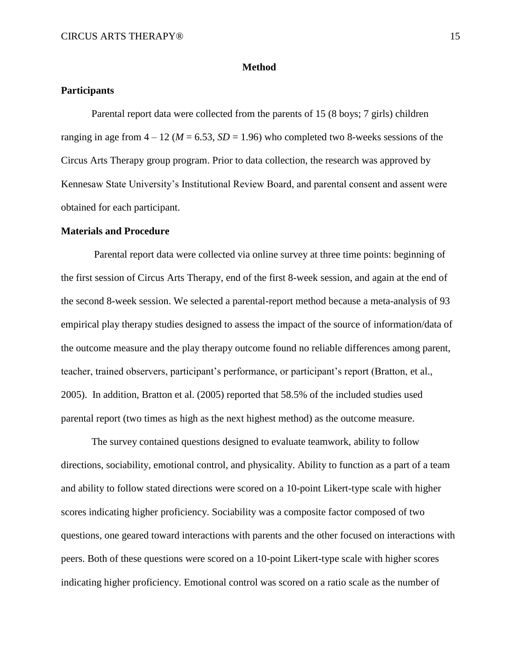### **Method**

## **Participants**

Parental report data were collected from the parents of 15 (8 boys; 7 girls) children ranging in age from  $4 - 12$  ( $M = 6.53$ ,  $SD = 1.96$ ) who completed two 8-weeks sessions of the Circus Arts Therapy group program. Prior to data collection, the research was approved by Kennesaw State University's Institutional Review Board, and parental consent and assent were obtained for each participant.

### **Materials and Procedure**

Parental report data were collected via online survey at three time points: beginning of the first session of Circus Arts Therapy, end of the first 8-week session, and again at the end of the second 8-week session. We selected a parental-report method because a meta-analysis of 93 empirical play therapy studies designed to assess the impact of the source of information/data of the outcome measure and the play therapy outcome found no reliable differences among parent, teacher, trained observers, participant's performance, or participant's report (Bratton, et al., 2005). In addition, Bratton et al. (2005) reported that 58.5% of the included studies used parental report (two times as high as the next highest method) as the outcome measure.

The survey contained questions designed to evaluate teamwork, ability to follow directions, sociability, emotional control, and physicality. Ability to function as a part of a team and ability to follow stated directions were scored on a 10-point Likert-type scale with higher scores indicating higher proficiency. Sociability was a composite factor composed of two questions, one geared toward interactions with parents and the other focused on interactions with peers. Both of these questions were scored on a 10-point Likert-type scale with higher scores indicating higher proficiency. Emotional control was scored on a ratio scale as the number of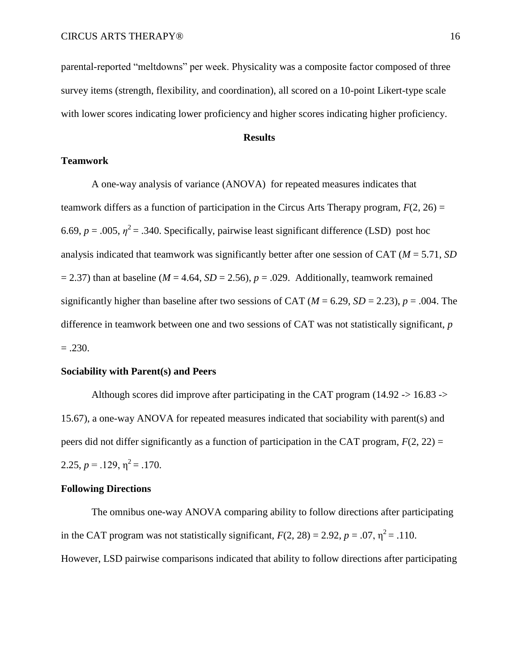parental-reported "meltdowns" per week. Physicality was a composite factor composed of three survey items (strength, flexibility, and coordination), all scored on a 10-point Likert-type scale with lower scores indicating lower proficiency and higher scores indicating higher proficiency.

## **Results**

# **Teamwork**

A one-way analysis of variance (ANOVA) for repeated measures indicates that teamwork differs as a function of participation in the Circus Arts Therapy program,  $F(2, 26) =$ 6.69,  $p = .005$ ,  $\eta^2 = .340$ . Specifically, pairwise least significant difference (LSD) post hoc analysis indicated that teamwork was significantly better after one session of CAT (*M* = 5.71, *SD*  $= 2.37$ ) than at baseline ( $M = 4.64$ ,  $SD = 2.56$ ),  $p = .029$ . Additionally, teamwork remained significantly higher than baseline after two sessions of CAT ( $M = 6.29$ ,  $SD = 2.23$ ),  $p = .004$ . The difference in teamwork between one and two sessions of CAT was not statistically significant, *p*  $=.230.$ 

# **Sociability with Parent(s) and Peers**

Although scores did improve after participating in the CAT program (14.92 -> 16.83 -> 15.67), a one-way ANOVA for repeated measures indicated that sociability with parent(s) and peers did not differ significantly as a function of participation in the CAT program,  $F(2, 22) =$ 2.25,  $p = .129$ ,  $n^2 = .170$ .

### **Following Directions**

The omnibus one-way ANOVA comparing ability to follow directions after participating in the CAT program was not statistically significant,  $F(2, 28) = 2.92$ ,  $p = .07$ ,  $\eta^2 = .110$ . However, LSD pairwise comparisons indicated that ability to follow directions after participating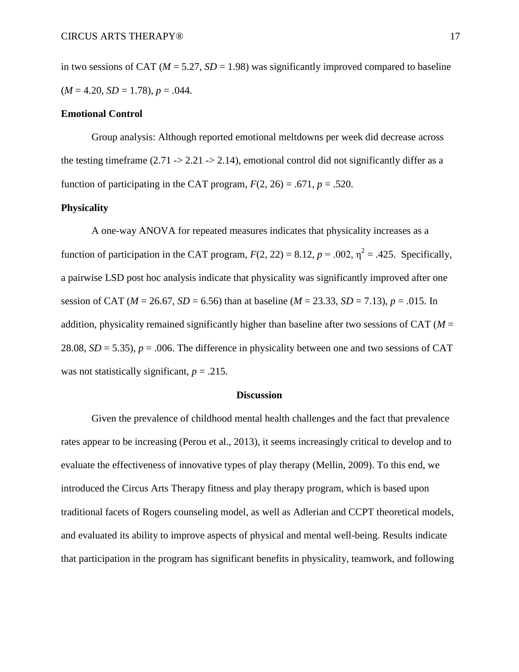in two sessions of CAT ( $M = 5.27$ ,  $SD = 1.98$ ) was significantly improved compared to baseline  $(M = 4.20, SD = 1.78), p = .044.$ 

## **Emotional Control**

Group analysis: Although reported emotional meltdowns per week did decrease across the testing timeframe (2.71 -> 2.21 -> 2.14), emotional control did not significantly differ as a function of participating in the CAT program,  $F(2, 26) = .671$ ,  $p = .520$ .

## **Physicality**

A one-way ANOVA for repeated measures indicates that physicality increases as a function of participation in the CAT program,  $F(2, 22) = 8.12$ ,  $p = .002$ ,  $\eta^2 = .425$ . Specifically, a pairwise LSD post hoc analysis indicate that physicality was significantly improved after one session of CAT ( $M = 26.67$ ,  $SD = 6.56$ ) than at baseline ( $M = 23.33$ ,  $SD = 7.13$ ),  $p = .015$ . In addition, physicality remained significantly higher than baseline after two sessions of CAT (*M* = 28.08,  $SD = 5.35$ ,  $p = .006$ . The difference in physicality between one and two sessions of CAT was not statistically significant,  $p = .215$ .

### **Discussion**

Given the prevalence of childhood mental health challenges and the fact that prevalence rates appear to be increasing (Perou et al., 2013), it seems increasingly critical to develop and to evaluate the effectiveness of innovative types of play therapy (Mellin, 2009). To this end, we introduced the Circus Arts Therapy fitness and play therapy program, which is based upon traditional facets of Rogers counseling model, as well as Adlerian and CCPT theoretical models, and evaluated its ability to improve aspects of physical and mental well-being. Results indicate that participation in the program has significant benefits in physicality, teamwork, and following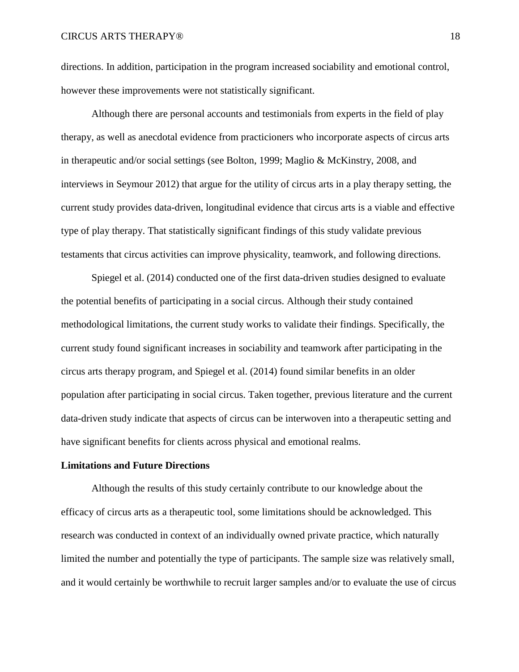directions. In addition, participation in the program increased sociability and emotional control, however these improvements were not statistically significant.

Although there are personal accounts and testimonials from experts in the field of play therapy, as well as anecdotal evidence from practicioners who incorporate aspects of circus arts in therapeutic and/or social settings (see Bolton, 1999; Maglio & McKinstry, 2008, and interviews in Seymour 2012) that argue for the utility of circus arts in a play therapy setting, the current study provides data-driven, longitudinal evidence that circus arts is a viable and effective type of play therapy. That statistically significant findings of this study validate previous testaments that circus activities can improve physicality, teamwork, and following directions.

Spiegel et al. (2014) conducted one of the first data-driven studies designed to evaluate the potential benefits of participating in a social circus. Although their study contained methodological limitations, the current study works to validate their findings. Specifically, the current study found significant increases in sociability and teamwork after participating in the circus arts therapy program, and Spiegel et al. (2014) found similar benefits in an older population after participating in social circus. Taken together, previous literature and the current data-driven study indicate that aspects of circus can be interwoven into a therapeutic setting and have significant benefits for clients across physical and emotional realms.

## **Limitations and Future Directions**

Although the results of this study certainly contribute to our knowledge about the efficacy of circus arts as a therapeutic tool, some limitations should be acknowledged. This research was conducted in context of an individually owned private practice, which naturally limited the number and potentially the type of participants. The sample size was relatively small, and it would certainly be worthwhile to recruit larger samples and/or to evaluate the use of circus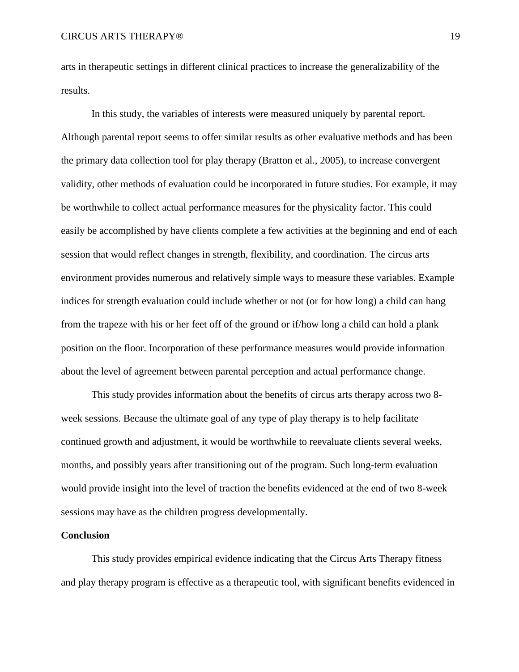arts in therapeutic settings in different clinical practices to increase the generalizability of the results.

In this study, the variables of interests were measured uniquely by parental report. Although parental report seems to offer similar results as other evaluative methods and has been the primary data collection tool for play therapy (Bratton et al., 2005), to increase convergent validity, other methods of evaluation could be incorporated in future studies. For example, it may be worthwhile to collect actual performance measures for the physicality factor. This could easily be accomplished by have clients complete a few activities at the beginning and end of each session that would reflect changes in strength, flexibility, and coordination. The circus arts environment provides numerous and relatively simple ways to measure these variables. Example indices for strength evaluation could include whether or not (or for how long) a child can hang from the trapeze with his or her feet off of the ground or if/how long a child can hold a plank position on the floor. Incorporation of these performance measures would provide information about the level of agreement between parental perception and actual performance change.

This study provides information about the benefits of circus arts therapy across two 8 week sessions. Because the ultimate goal of any type of play therapy is to help facilitate continued growth and adjustment, it would be worthwhile to reevaluate clients several weeks, months, and possibly years after transitioning out of the program. Such long-term evaluation would provide insight into the level of traction the benefits evidenced at the end of two 8-week sessions may have as the children progress developmentally.

### **Conclusion**

This study provides empirical evidence indicating that the Circus Arts Therapy fitness and play therapy program is effective as a therapeutic tool, with significant benefits evidenced in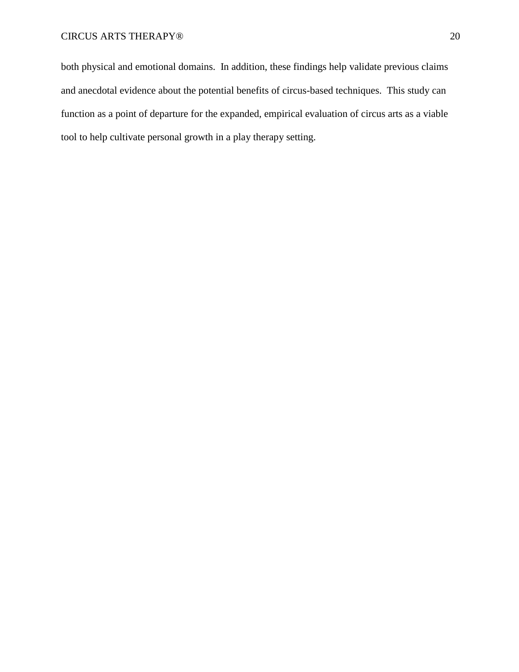both physical and emotional domains. In addition, these findings help validate previous claims and anecdotal evidence about the potential benefits of circus-based techniques. This study can function as a point of departure for the expanded, empirical evaluation of circus arts as a viable tool to help cultivate personal growth in a play therapy setting.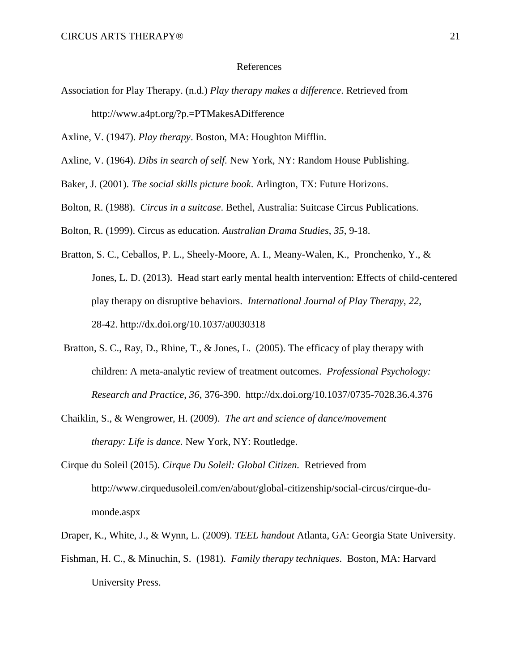#### References

Association for Play Therapy. (n.d.) *Play therapy makes a difference*. Retrieved from <http://www.a4pt.org/?p.=PTMakesADifference>

Axline, V. (1947). *Play therapy*. Boston, MA: Houghton Mifflin.

- Axline, V. (1964). *Dibs in search of self.* New York, NY: Random House Publishing.
- Baker, J. (2001). *The social skills picture book*. Arlington, TX: Future Horizons.
- Bolton, R. (1988). *Circus in a suitcase*. Bethel, Australia: Suitcase Circus Publications.

Bolton, R. (1999). Circus as education. *Australian Drama Studies*, *35*, 9-18.

- Bratton, S. C., Ceballos, P. L., Sheely-Moore, A. I., Meany-Walen, K., Pronchenko, Y., & Jones, L. D. (2013). Head start early mental health intervention: Effects of child-centered play therapy on disruptive behaviors. *International Journal of Play Therapy*, *22*, 28-42.<http://dx.doi.org/10.1037/a0030318>
- [Bratton,](http://academic.research.microsoft.com/Author/21295002/sue-c-bratton) S. C., Ray, D., Rhine, T., [& Jones,](http://academic.research.microsoft.com/Author/47167320/leslie-sargent-jones) L. (2005). The efficacy of play therapy with children: A meta-analytic review of treatment outcomes. *Professional Psychology: Research and Practice*, *36*, 376-390. <http://dx.doi.org/10.1037/0735-7028.36.4.376>
- Chaiklin, S., & Wengrower, H. (2009). *The art and science of dance/movement therapy: Life is dance.* New York, NY: Routledge.
- Cirque du Soleil (2015). *Cirque Du Soleil: Global Citizen.* Retrieved from [http://www.cirquedusoleil.com/en/about/global-citizenship/social-circus/cirque-du](http://www.cirquedusoleil.com/en/about/global-citizenship/social-circus/cirque-du-)monde.aspx
- Draper, K., White, J., & Wynn, L. (2009). *TEEL handout* Atlanta, GA: Georgia State University.
- Fishman, H. C., & Minuchin, S. (1981). *Family therapy techniques*. Boston, MA: Harvard University Press.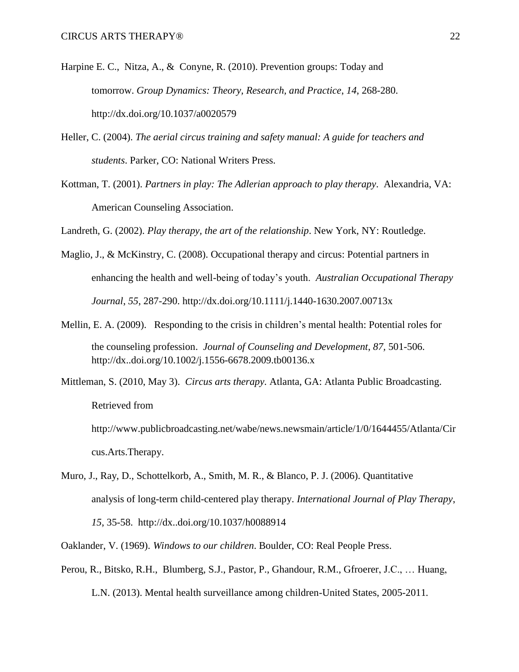- Harpine E. C., Nitza, A., & Conyne, R. (2010). Prevention groups: Today and tomorrow. *Group Dynamics: Theory, Research, and Practice*, *14*, 268-280. http://dx[.doi.org/10.1037/a0020579](http://dx.doi.org/10.1037/a0020579)
- Heller, C. (2004). *The aerial circus training and safety manual: A guide for teachers and students*. Parker, CO: National Writers Press.
- Kottman, T. (2001). *Partners in play: The Adlerian approach to play therapy*. Alexandria, VA: American Counseling Association.

Landreth, G. (2002). *Play therapy, the art of the relationship*. New York, NY: Routledge.

- Maglio, J., & McKinstry, C. (2008). Occupational therapy and circus: Potential partners in enhancing the health and well-being of today's youth. *Australian Occupational Therapy Journal*, *55*, 287-290. http://dx.doi.org/10.1111/j.1440-1630.2007.00713x
- Mellin, E. A. (2009). Responding to the crisis in children's mental health: Potential roles for the counseling profession. *Journal of Counseling and Development*, *87,* 501-506. http://dx..doi.org/10.1002/j.1556-6678.2009.tb00136.x
- Mittleman, S. (2010, May 3). *Circus arts therapy.* Atlanta, GA: Atlanta Public Broadcasting. Retrieved from
	- [http://www.publicbroadcasting.net/wabe/news.newsmain/article/1/0/1644455/Atlanta/Cir](http://www.publicbroadcasting.net/wabe/news.newsmain/article/1/0/1644455/Atlanta/Cir%09cus) [cus.](http://www.publicbroadcasting.net/wabe/news.newsmain/article/1/0/1644455/Atlanta/Cir%09cus)Arts.Therapy.
- Muro, J., Ray, D., Schottelkorb, A., Smith, M. R., & Blanco, P. J. (2006). Quantitative analysis of long-term child-centered play therapy. *International Journal of Play Therapy*, *15*, 35-58. <http://dx..doi.org/10.1037/h0088914>

Oaklander, V. (1969). *Windows to our children*. Boulder, CO: Real People Press.

Perou, R., Bitsko, R.H., Blumberg, S.J., Pastor, P., Ghandour, R.M., Gfroerer, J.C., … Huang, L.N. (2013). Mental health surveillance among children-United States, 2005-2011*.*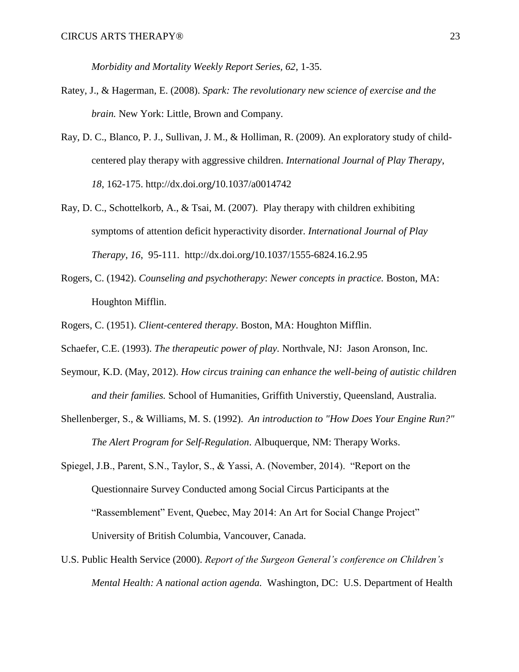*Morbidity and Mortality Weekly Report Series, 62,* 1-35.

- Ratey, J., & Hagerman, E. (2008). *Spark: The revolutionary new science of exercise and the brain.* New York: Little, Brown and Company.
- Ray, D. C., Blanco, P. J., Sullivan, J. M., & Holliman, R. (2009). An exploratory study of childcentered play therapy with aggressive children. *International Journal of Play Therapy*, *18*, 162-175. http://dx.doi.org/[10.1037/a0014742](http://dx.doi.org/10.1037/a0014742)
- Ray, D. C., Schottelkorb, A., & Tsai, M. (2007). Play therapy with children exhibiting symptoms of attention deficit hyperactivity disorder. *International Journal of Play Therapy*, *16*, 95-111. http://dx.doi.org/[10.1037/1555-6824.16.2.95](http://dx.doi.org/10.1037/1555-6824.16.2.95)
- Rogers, C. (1942). *Counseling and psychotherapy*: *Newer concepts in practice.* Boston, MA: Houghton Mifflin.
- Rogers, C. (1951). *Client-centered therapy*. Boston, MA: Houghton Mifflin.
- Schaefer, C.E. (1993). *The therapeutic power of play.* Northvale, NJ: Jason Aronson, Inc.
- Seymour, K.D. (May, 2012). *How circus training can enhance the well-being of autistic children and their families.* School of Humanities, Griffith Universtiy, Queensland, Australia.
- Shellenberger, S., & Williams, M. S. (1992). *An introduction to "How Does Your Engine Run?" The Alert Program for Self-Regulation*. Albuquerque, NM: Therapy Works.
- Spiegel, J.B., Parent, S.N., Taylor, S., & Yassi, A. (November, 2014). "Report on the Questionnaire Survey Conducted among Social Circus Participants at the "Rassemblement" Event, Quebec, May 2014: An Art for Social Change Project" University of British Columbia, Vancouver, Canada.
- U.S. Public Health Service (2000). *Report of the Surgeon General's conference on Children's Mental Health: A national action agenda.* Washington, DC: U.S. Department of Health